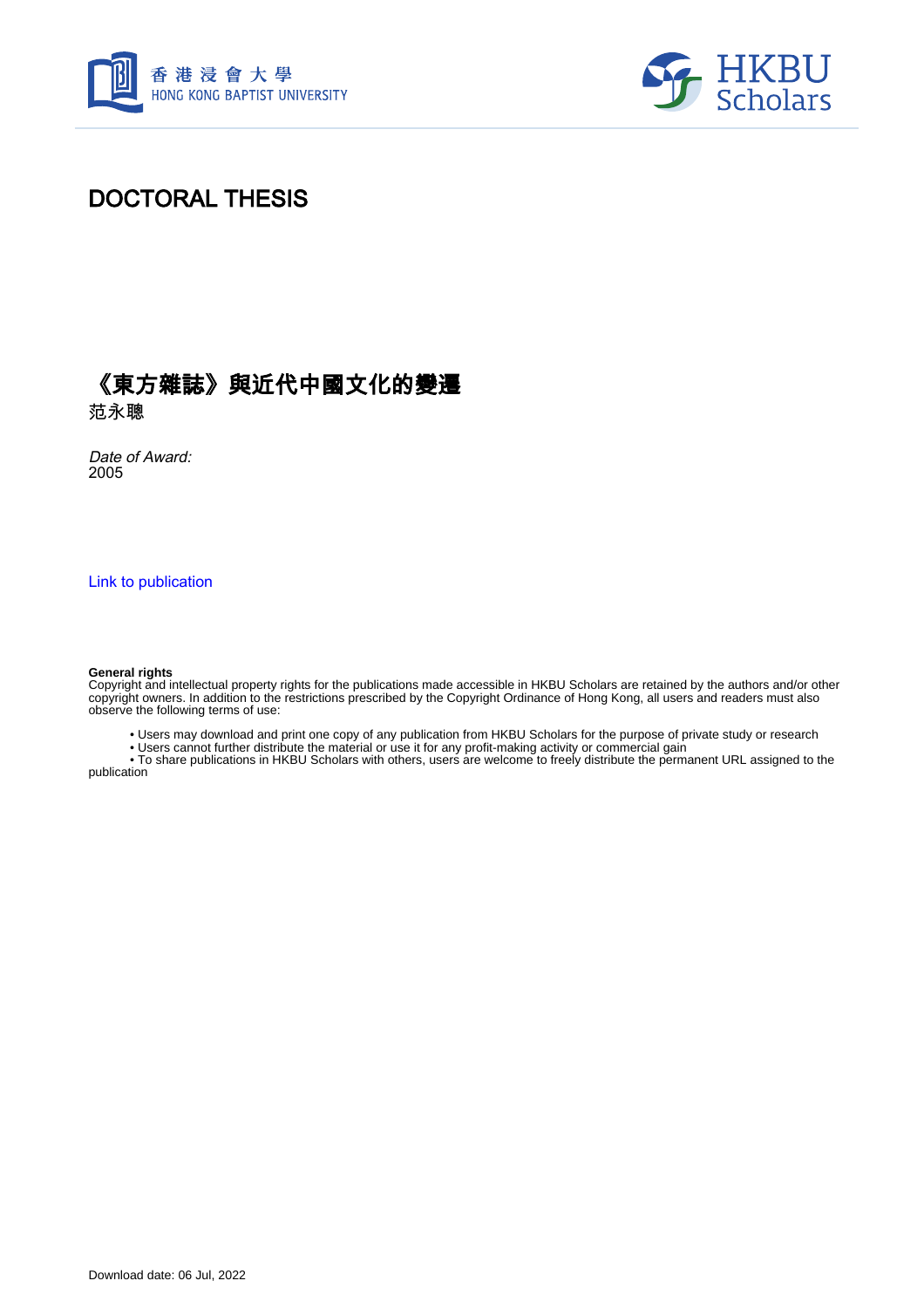



# DOCTORAL THESIS

## 《東方雜誌》與近代中國文化的變遷

范永聰

Date of Award: 2005

[Link to publication](https://scholars.hkbu.edu.hk/en/studentTheses/b9c6c526-b422-4c18-be80-5449eb72927d)

#### **General rights**

Copyright and intellectual property rights for the publications made accessible in HKBU Scholars are retained by the authors and/or other copyright owners. In addition to the restrictions prescribed by the Copyright Ordinance of Hong Kong, all users and readers must also observe the following terms of use:

• Users may download and print one copy of any publication from HKBU Scholars for the purpose of private study or research

• Users cannot further distribute the material or use it for any profit-making activity or commercial gain

 • To share publications in HKBU Scholars with others, users are welcome to freely distribute the permanent URL assigned to the publication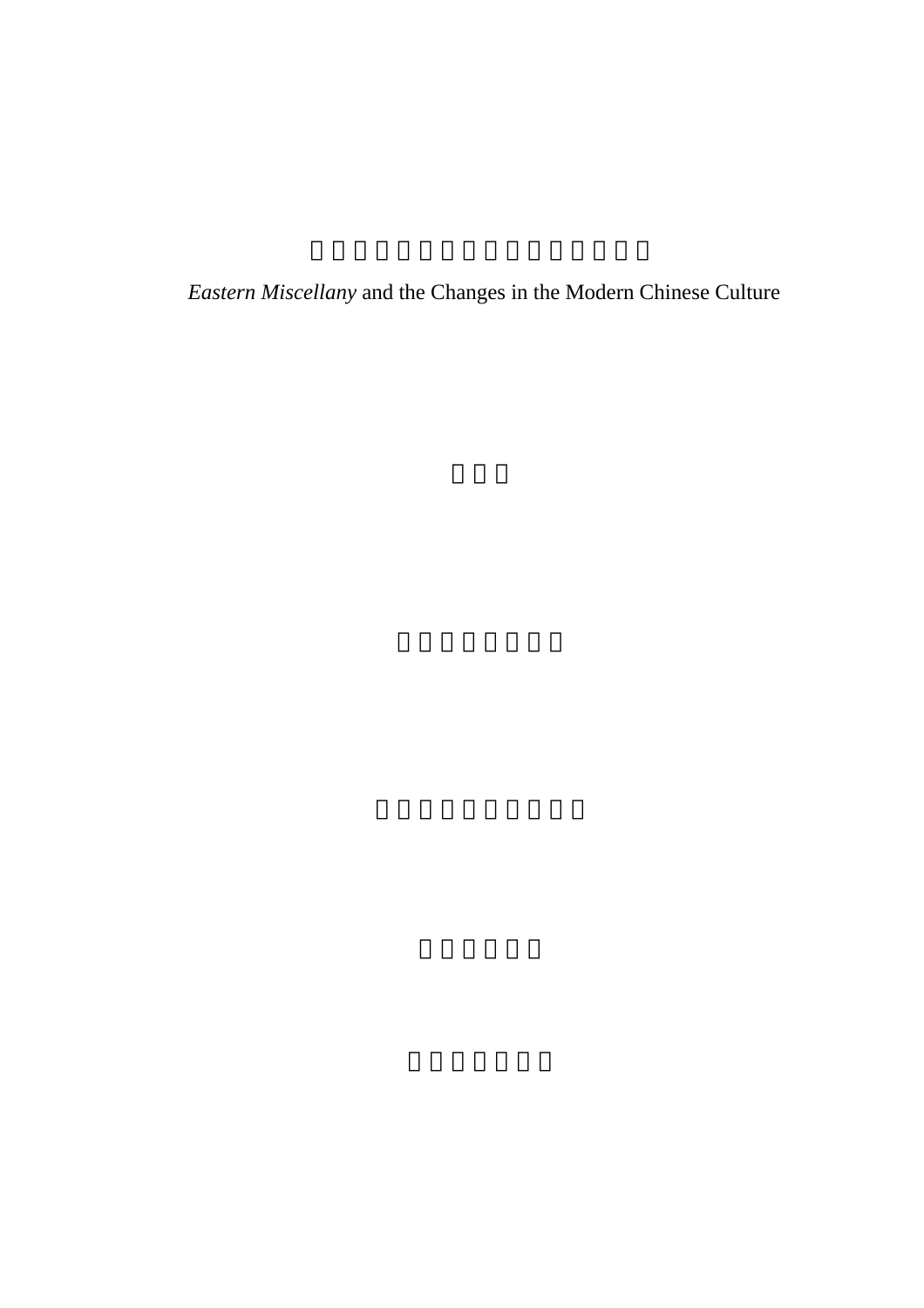*Eastern Miscellany* and the Changes in the Modern Chinese Culture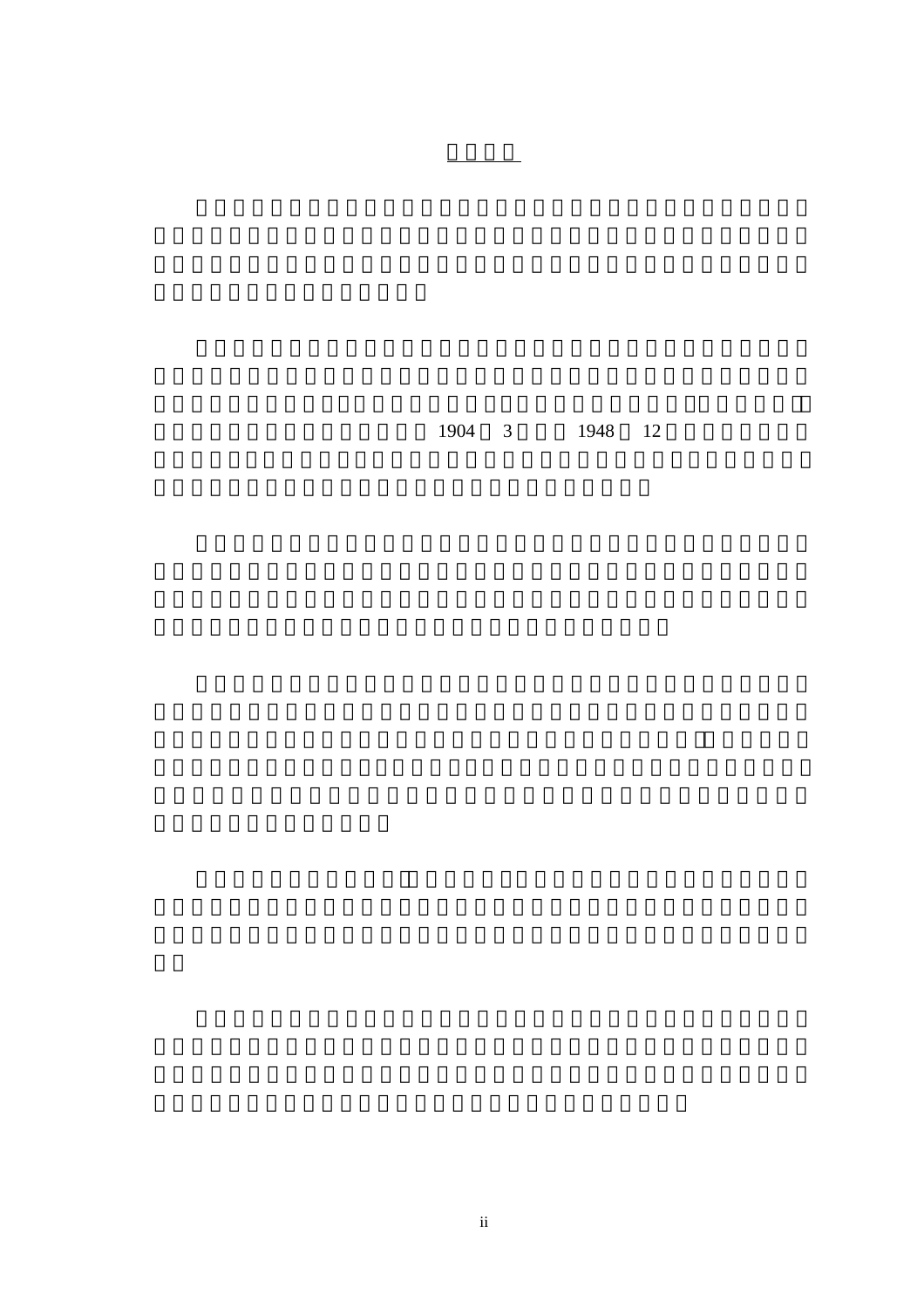1904 3 1948 12

**中文提要**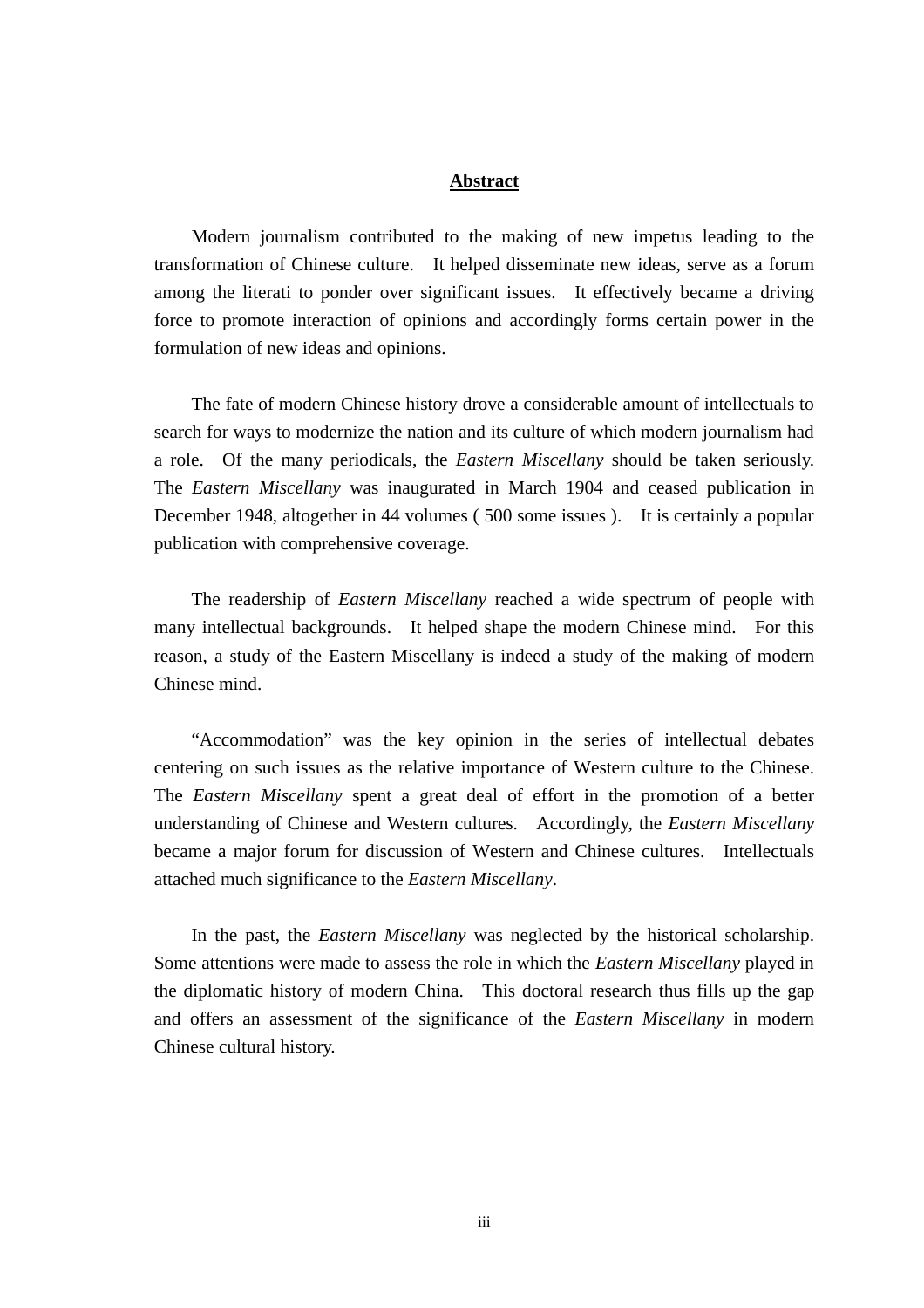### **Abstract**

Modern journalism contributed to the making of new impetus leading to the transformation of Chinese culture. It helped disseminate new ideas, serve as a forum among the literati to ponder over significant issues. It effectively became a driving force to promote interaction of opinions and accordingly forms certain power in the formulation of new ideas and opinions.

The fate of modern Chinese history drove a considerable amount of intellectuals to search for ways to modernize the nation and its culture of which modern journalism had a role. Of the many periodicals, the *Eastern Miscellany* should be taken seriously. The *Eastern Miscellany* was inaugurated in March 1904 and ceased publication in December 1948, altogether in 44 volumes ( 500 some issues ). It is certainly a popular publication with comprehensive coverage.

The readership of *Eastern Miscellany* reached a wide spectrum of people with many intellectual backgrounds. It helped shape the modern Chinese mind. For this reason, a study of the Eastern Miscellany is indeed a study of the making of modern Chinese mind.

"Accommodation" was the key opinion in the series of intellectual debates centering on such issues as the relative importance of Western culture to the Chinese. The *Eastern Miscellany* spent a great deal of effort in the promotion of a better understanding of Chinese and Western cultures. Accordingly, the *Eastern Miscellany* became a major forum for discussion of Western and Chinese cultures. Intellectuals attached much significance to the *Eastern Miscellany*.

In the past, the *Eastern Miscellany* was neglected by the historical scholarship. Some attentions were made to assess the role in which the *Eastern Miscellany* played in the diplomatic history of modern China. This doctoral research thus fills up the gap and offers an assessment of the significance of the *Eastern Miscellany* in modern Chinese cultural history.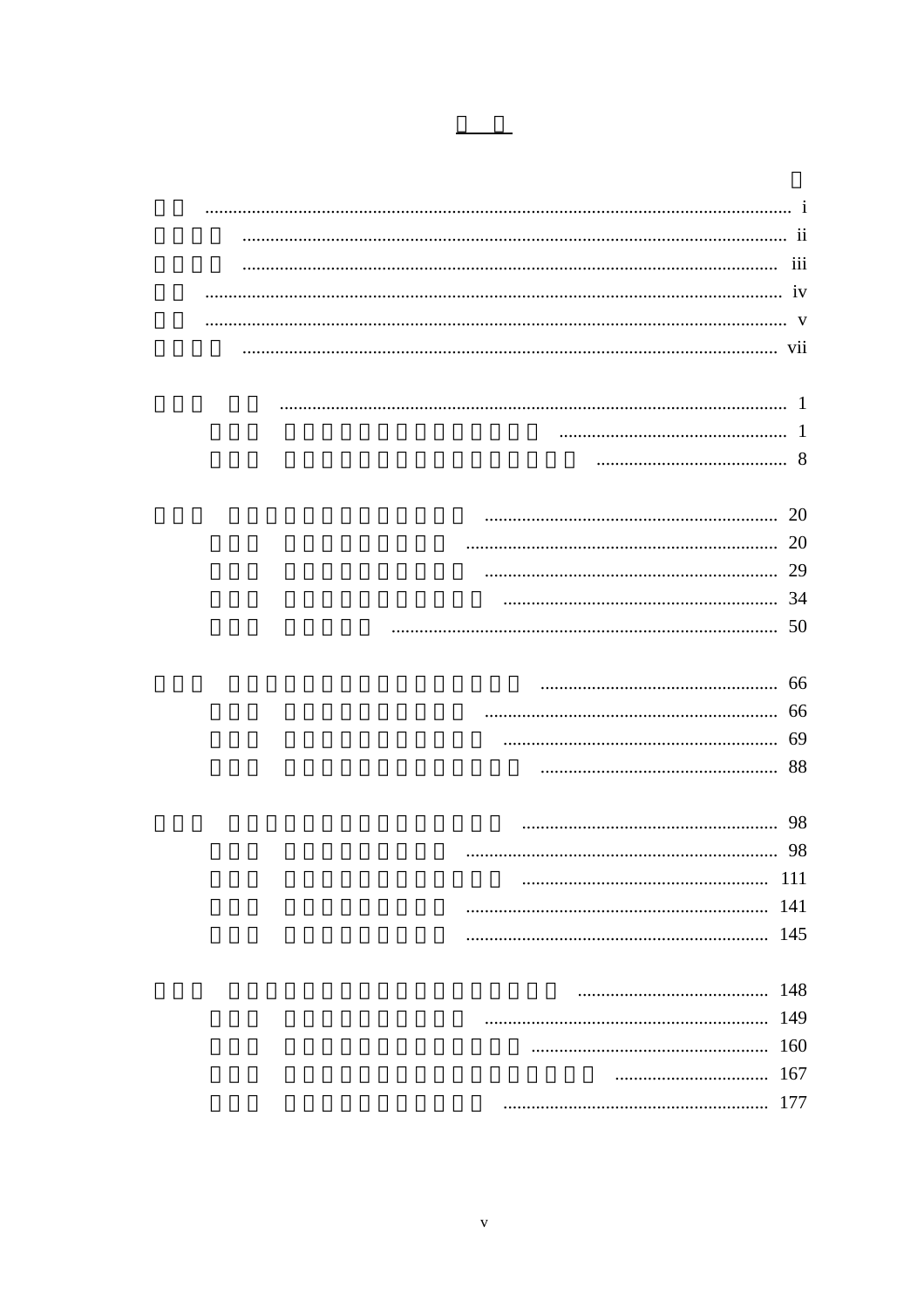### 

|--|--|

## 

##